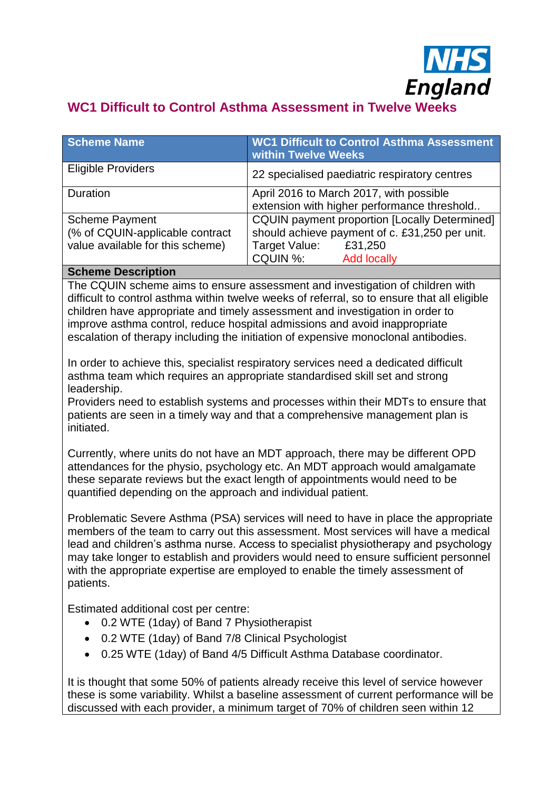

# **WC1 Difficult to Control Asthma Assessment in Twelve Weeks**

| <b>Scheme Name</b>               | <b>WC1 Difficult to Control Asthma Assessment</b><br>within Twelve Weeks |
|----------------------------------|--------------------------------------------------------------------------|
| <b>Eligible Providers</b>        | 22 specialised paediatric respiratory centres                            |
| Duration                         | April 2016 to March 2017, with possible                                  |
|                                  | extension with higher performance threshold                              |
| <b>Scheme Payment</b>            | <b>CQUIN payment proportion [Locally Determined]</b>                     |
| (% of CQUIN-applicable contract  | should achieve payment of c. £31,250 per unit.                           |
| value available for this scheme) | Target Value:<br>£31,250                                                 |
|                                  | CQUIN %:<br><b>Add locally</b>                                           |

#### **Scheme Description**

The CQUIN scheme aims to ensure assessment and investigation of children with difficult to control asthma within twelve weeks of referral, so to ensure that all eligible children have appropriate and timely assessment and investigation in order to improve asthma control, reduce hospital admissions and avoid inappropriate escalation of therapy including the initiation of expensive monoclonal antibodies.

In order to achieve this, specialist respiratory services need a dedicated difficult asthma team which requires an appropriate standardised skill set and strong leadership.

Providers need to establish systems and processes within their MDTs to ensure that patients are seen in a timely way and that a comprehensive management plan is initiated.

Currently, where units do not have an MDT approach, there may be different OPD attendances for the physio, psychology etc. An MDT approach would amalgamate these separate reviews but the exact length of appointments would need to be quantified depending on the approach and individual patient.

Problematic Severe Asthma (PSA) services will need to have in place the appropriate members of the team to carry out this assessment. Most services will have a medical lead and children's asthma nurse. Access to specialist physiotherapy and psychology may take longer to establish and providers would need to ensure sufficient personnel with the appropriate expertise are employed to enable the timely assessment of patients.

Estimated additional cost per centre:

- 0.2 WTE (1day) of Band 7 Physiotherapist
- 0.2 WTE (1day) of Band 7/8 Clinical Psychologist
- 0.25 WTE (1day) of Band 4/5 Difficult Asthma Database coordinator.

It is thought that some 50% of patients already receive this level of service however these is some variability. Whilst a baseline assessment of current performance will be discussed with each provider, a minimum target of 70% of children seen within 12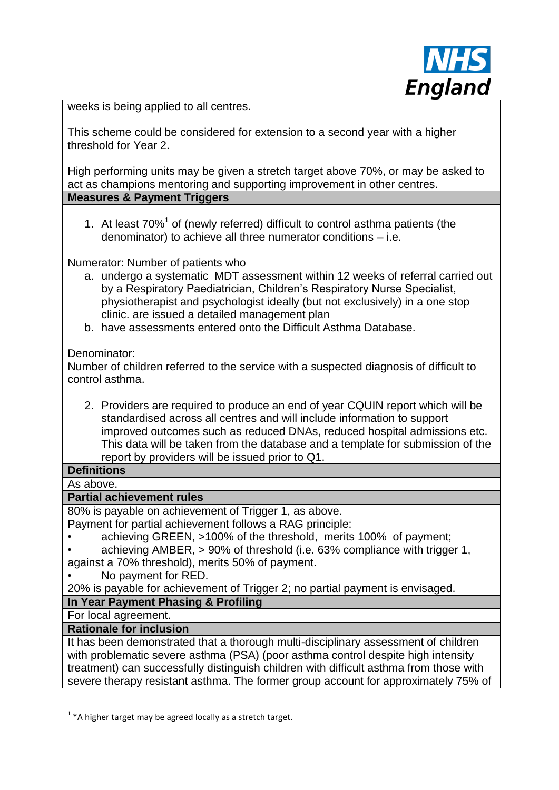

weeks is being applied to all centres.

This scheme could be considered for extension to a second year with a higher threshold for Year 2.

High performing units may be given a stretch target above 70%, or may be asked to act as champions mentoring and supporting improvement in other centres. **Measures & Payment Triggers**

1. At least  $70\%$ <sup>1</sup> of (newly referred) difficult to control asthma patients (the denominator) to achieve all three numerator conditions – i.e.

Numerator: Number of patients who

- a. undergo a systematic MDT assessment within 12 weeks of referral carried out by a Respiratory Paediatrician, Children's Respiratory Nurse Specialist, physiotherapist and psychologist ideally (but not exclusively) in a one stop clinic. are issued a detailed management plan
- b. have assessments entered onto the Difficult Asthma Database.

Denominator:

Number of children referred to the service with a suspected diagnosis of difficult to control asthma.

2. Providers are required to produce an end of year CQUIN report which will be standardised across all centres and will include information to support improved outcomes such as reduced DNAs, reduced hospital admissions etc. This data will be taken from the database and a template for submission of the report by providers will be issued prior to Q1.

# **Definitions**

#### As above.

#### **Partial achievement rules**

80% is payable on achievement of Trigger 1, as above.

Payment for partial achievement follows a RAG principle:

- achieving GREEN, >100% of the threshold, merits 100% of payment;
- achieving AMBER, > 90% of threshold (i.e. 63% compliance with trigger 1,

against a 70% threshold), merits 50% of payment.

• No payment for RED.

20% is payable for achievement of Trigger 2; no partial payment is envisaged.

## **In Year Payment Phasing & Profiling**

For local agreement.

1

#### **Rationale for inclusion**

It has been demonstrated that a thorough multi-disciplinary assessment of children with problematic severe asthma (PSA) (poor asthma control despite high intensity treatment) can successfully distinguish children with difficult asthma from those with severe therapy resistant asthma. The former group account for approximately 75% of

 $1$  \*A higher target may be agreed locally as a stretch target.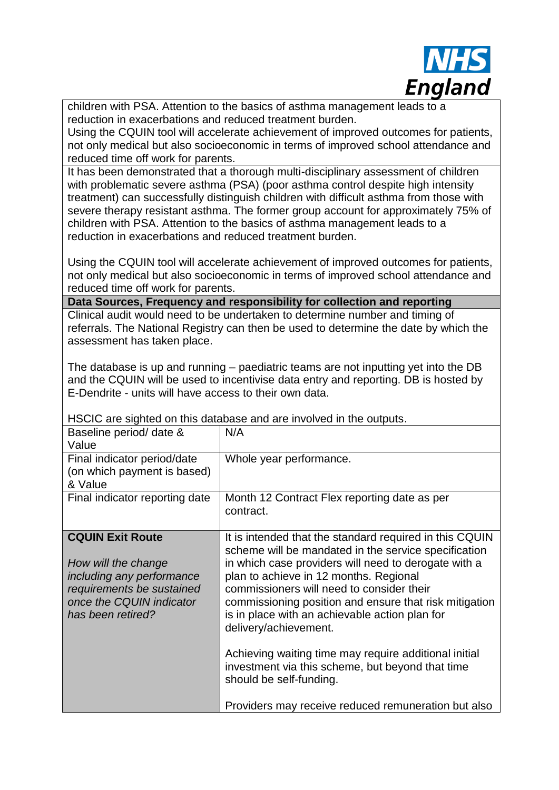

children with PSA. Attention to the basics of asthma management leads to a reduction in exacerbations and reduced treatment burden.

Using the CQUIN tool will accelerate achievement of improved outcomes for patients, not only medical but also socioeconomic in terms of improved school attendance and reduced time off work for parents.

It has been demonstrated that a thorough multi-disciplinary assessment of children with problematic severe asthma (PSA) (poor asthma control despite high intensity treatment) can successfully distinguish children with difficult asthma from those with severe therapy resistant asthma. The former group account for approximately 75% of children with PSA. Attention to the basics of asthma management leads to a reduction in exacerbations and reduced treatment burden.

Using the CQUIN tool will accelerate achievement of improved outcomes for patients, not only medical but also socioeconomic in terms of improved school attendance and reduced time off work for parents.

**Data Sources, Frequency and responsibility for collection and reporting**

Clinical audit would need to be undertaken to determine number and timing of referrals. The National Registry can then be used to determine the date by which the assessment has taken place.

The database is up and running – paediatric teams are not inputting yet into the DB and the CQUIN will be used to incentivise data entry and reporting. DB is hosted by E-Dendrite - units will have access to their own data.

| Baseline period/ date &<br>Value                                                                                                                          | N/A                                                                                                                                                                                                                                                                                                                                                                                                 |
|-----------------------------------------------------------------------------------------------------------------------------------------------------------|-----------------------------------------------------------------------------------------------------------------------------------------------------------------------------------------------------------------------------------------------------------------------------------------------------------------------------------------------------------------------------------------------------|
| Final indicator period/date<br>(on which payment is based)<br>& Value                                                                                     | Whole year performance.                                                                                                                                                                                                                                                                                                                                                                             |
| Final indicator reporting date                                                                                                                            | Month 12 Contract Flex reporting date as per<br>contract.                                                                                                                                                                                                                                                                                                                                           |
| <b>CQUIN Exit Route</b><br>How will the change<br>including any performance<br>requirements be sustained<br>once the CQUIN indicator<br>has been retired? | It is intended that the standard required in this CQUIN<br>scheme will be mandated in the service specification<br>in which case providers will need to derogate with a<br>plan to achieve in 12 months. Regional<br>commissioners will need to consider their<br>commissioning position and ensure that risk mitigation<br>is in place with an achievable action plan for<br>delivery/achievement. |
|                                                                                                                                                           | Achieving waiting time may require additional initial<br>investment via this scheme, but beyond that time<br>should be self-funding.                                                                                                                                                                                                                                                                |
|                                                                                                                                                           | Providers may receive reduced remuneration but also                                                                                                                                                                                                                                                                                                                                                 |

HSCIC are sighted on this database and are involved in the outputs.